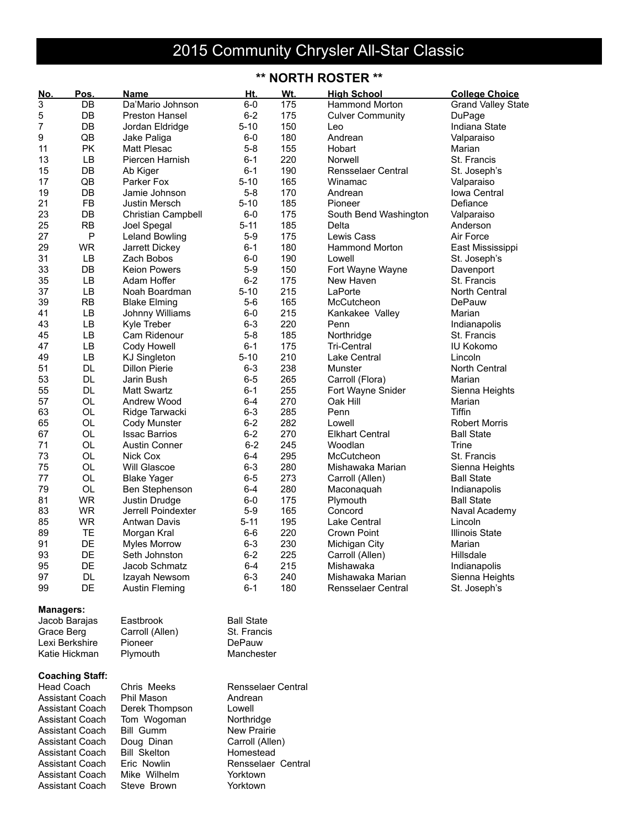## 2015 Community Chrysler All-Star Classic

## **\*\* NORTH ROSTER \*\***

| No.                    | Pos.                   | Name                  | Ht.                | Wt. | <b>High School</b>        | <b>College Choice</b>     |
|------------------------|------------------------|-----------------------|--------------------|-----|---------------------------|---------------------------|
| 3                      | DB                     | Da'Mario Johnson      | $6-0$              | 175 | <b>Hammond Morton</b>     | <b>Grand Valley State</b> |
| 5                      | DB                     | Preston Hansel        | $6 - 2$            | 175 | <b>Culver Community</b>   | DuPage                    |
| 7                      | DB                     | Jordan Eldridge       | $5 - 10$           | 150 | Leo                       | Indiana State             |
| 9                      | QB                     | Jake Paliga           | 6-0                | 180 | Andrean                   | Valparaiso                |
| 11                     | PK                     | <b>Matt Plesac</b>    | $5 - 8$            | 155 | Hobart                    | Marian                    |
| 13                     | LB                     | Piercen Harnish       | $6 - 1$            | 220 | Norwell                   | St. Francis               |
| 15                     | DB                     | Ab Kiger              | $6 - 1$            | 190 | <b>Rensselaer Central</b> | St. Joseph's              |
| 17                     | QB                     | Parker Fox            | $5 - 10$           | 165 | Winamac                   | Valparaiso                |
| 19                     | DB                     | Jamie Johnson         | $5 - 8$            | 170 | Andrean                   | Iowa Central              |
| 21                     | <b>FB</b>              | <b>Justin Mersch</b>  | $5 - 10$           | 185 | Pioneer                   | Defiance                  |
| 23                     | DB                     | Christian Campbell    | $6-0$              | 175 | South Bend Washington     | Valparaiso                |
| 25                     | <b>RB</b>              | Joel Spegal           | $5 - 11$           | 185 | Delta                     | Anderson                  |
| 27                     | P                      | <b>Leland Bowling</b> | $5-9$              | 175 | Lewis Cass                | Air Force                 |
| 29                     | <b>WR</b>              | Jarrett Dickey        | $6 - 1$            | 180 | <b>Hammond Morton</b>     | East Mississippi          |
| 31                     | LB                     | Zach Bobos            | $6-0$              | 190 | Lowell                    | St. Joseph's              |
| 33                     | DB                     | <b>Keion Powers</b>   | $5-9$              | 150 | Fort Wayne Wayne          | Davenport                 |
| 35                     | LB                     | Adam Hoffer           | $6 - 2$            | 175 | New Haven                 | St. Francis               |
| 37                     | LB                     | Noah Boardman         | $5 - 10$           | 215 | LaPorte                   | North Central             |
| 39                     | <b>RB</b>              | <b>Blake Elming</b>   | $5-6$              | 165 | McCutcheon                | DePauw                    |
| 41                     | LB                     | Johnny Williams       | 6-0                | 215 | Kankakee Valley           | Marian                    |
| 43                     | LB                     | Kyle Treber           | $6 - 3$            | 220 | Penn                      | Indianapolis              |
| 45                     | LB                     | Cam Ridenour          | $5 - 8$            | 185 | Northridge                | St. Francis               |
| 47                     | LB                     | Cody Howell           | $6 - 1$            | 175 | <b>Tri-Central</b>        | <b>IU Kokomo</b>          |
| 49                     | LB                     | <b>KJ Singleton</b>   | $5 - 10$           | 210 | Lake Central              | Lincoln                   |
| 51                     | <b>DL</b>              | <b>Dillon Pierie</b>  | $6 - 3$            | 238 | Munster                   | North Central             |
| 53                     | <b>DL</b>              | Jarin Bush            | $6 - 5$            | 265 | Carroll (Flora)           | Marian                    |
| 55                     | <b>DL</b>              | <b>Matt Swartz</b>    | $6 - 1$            | 255 | Fort Wayne Snider         | Sienna Heights            |
| 57                     | OL                     | Andrew Wood           | $6 - 4$            | 270 | Oak Hill                  | Marian                    |
| 63                     | OL                     | Ridge Tarwacki        | $6 - 3$            | 285 | Penn                      | <b>Tiffin</b>             |
| 65                     | OL                     | Cody Munster          | $6 - 2$            | 282 | Lowell                    | <b>Robert Morris</b>      |
| 67                     | OL                     | <b>Issac Barrios</b>  | $6 - 2$            | 270 | <b>Elkhart Central</b>    | <b>Ball State</b>         |
| 71                     | OL                     | <b>Austin Conner</b>  | $6 - 2$            | 245 | Woodlan                   | Trine                     |
| 73                     | OL                     | Nick Cox              | $6 - 4$            | 295 | McCutcheon                | St. Francis               |
| 75                     | OL                     | Will Glascoe          | $6 - 3$            | 280 | Mishawaka Marian          | Sienna Heights            |
| 77                     | OL                     | <b>Blake Yager</b>    | $6-5$              | 273 | Carroll (Allen)           | <b>Ball State</b>         |
| 79                     | OL                     | Ben Stephenson        | 6-4                | 280 | Maconaquah                | Indianapolis              |
| 81                     | <b>WR</b>              | Justin Drudge         | $6-0$              | 175 | Plymouth                  | <b>Ball State</b>         |
| 83                     | <b>WR</b>              | Jerrell Poindexter    | $5-9$              | 165 | Concord                   | Naval Academy             |
| 85                     | <b>WR</b>              | <b>Antwan Davis</b>   | $5 - 11$           | 195 | Lake Central              | Lincoln                   |
| 89                     | TE                     | Morgan Kral           | 6-6                | 220 | Crown Point               | <b>Illinois State</b>     |
| 91                     | DE                     | <b>Myles Morrow</b>   | $6 - 3$            | 230 | Michigan City             | Marian                    |
| 93                     | DE                     | Seth Johnston         | $6 - 2$            | 225 | Carroll (Allen)           | Hillsdale                 |
| 95                     | DE                     | Jacob Schmatz         | 6-4                | 215 | Mishawaka                 | Indianapolis              |
| 97                     | DL.                    | Izayah Newsom         | $6 - 3$            | 240 | Mishawaka Marian          | Sienna Heights            |
| 99                     | DE                     | Austin Fleming        | $6 - 1$            | 180 | Rensselaer Central        | St. Joseph's              |
|                        |                        |                       |                    |     |                           |                           |
| <b>Managers:</b>       |                        |                       |                    |     |                           |                           |
|                        | Jacob Barajas          | Eastbrook             | <b>Ball State</b>  |     |                           |                           |
| Grace Berg             |                        | Carroll (Allen)       | St. Francis        |     |                           |                           |
|                        | Lexi Berkshire         | Pioneer               | DePauw             |     |                           |                           |
|                        | Katie Hickman          | Plymouth              | Manchester         |     |                           |                           |
|                        |                        |                       |                    |     |                           |                           |
|                        | <b>Coaching Staff:</b> |                       |                    |     |                           |                           |
|                        | <b>Head Coach</b>      | Chris Meeks           | Rensselaer Central |     |                           |                           |
|                        | <b>Assistant Coach</b> | Phil Mason            | Andrean            |     |                           |                           |
| <b>Assistant Coach</b> |                        | Derek Thompson        | Lowell             |     |                           |                           |
| <b>Assistant Coach</b> |                        | Tom Wogoman           | Northridge         |     |                           |                           |
| <b>Assistant Coach</b> |                        | <b>Bill Gumm</b>      | <b>New Prairie</b> |     |                           |                           |
|                        | Assistant Coach        | Doug Dinan            | Carroll (Allen)    |     |                           |                           |
|                        | <b>Assistant Coach</b> | <b>Bill Skelton</b>   | Homestead          |     |                           |                           |
|                        | <b>Assistant Coach</b> | Eric Nowlin           | Rensselaer Central |     |                           |                           |
|                        | <b>Assistant Coach</b> | Mike Wilhelm          | Yorktown           |     |                           |                           |
|                        | <b>Assistant Coach</b> | Steve Brown           | Yorktown           |     |                           |                           |